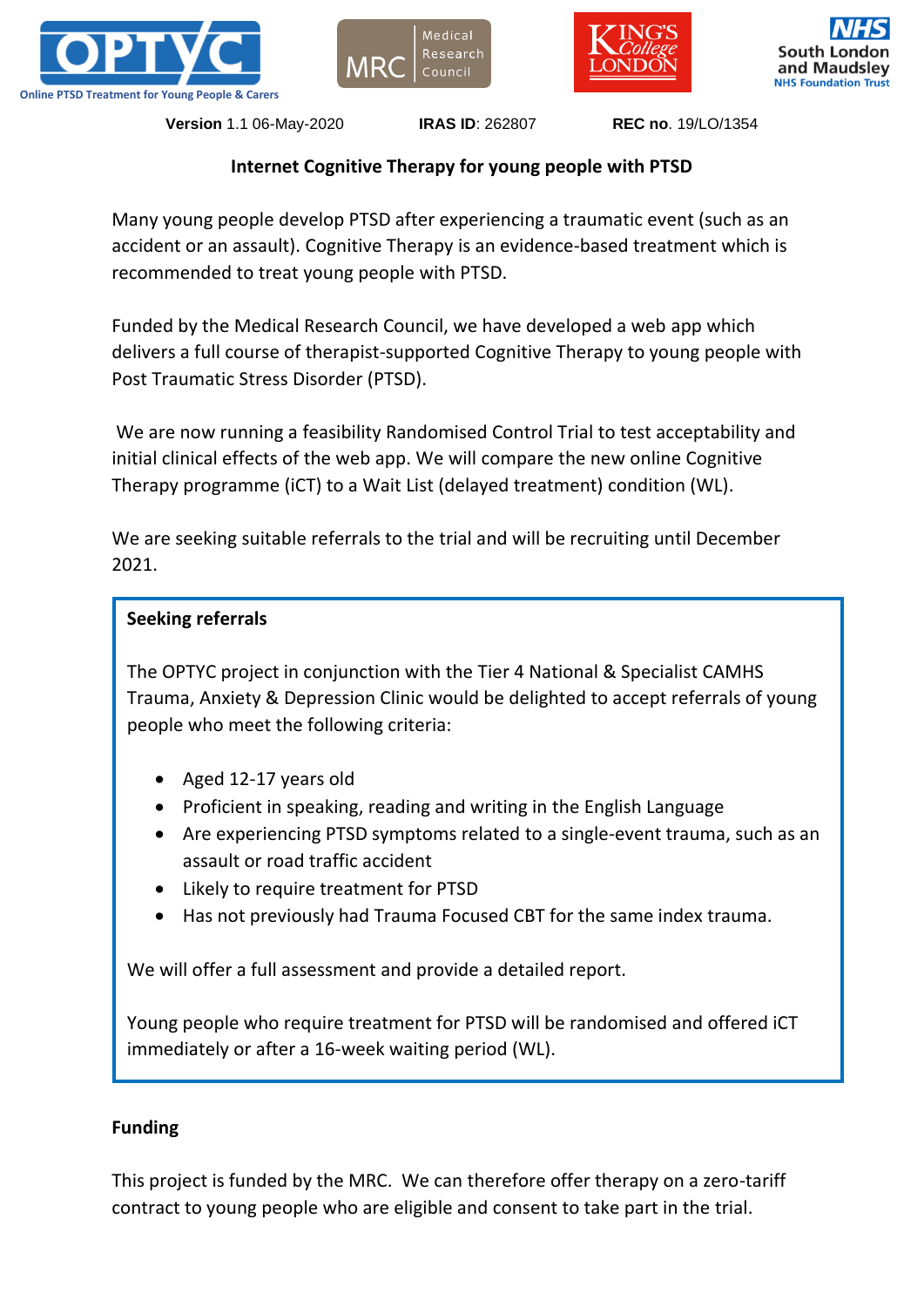







**Version** 1.1 06-May-2020 **IRAS ID**: 262807 **REC no**. 19/LO/1354

## **Internet Cognitive Therapy for young people with PTSD**

Many young people develop PTSD after experiencing a traumatic event (such as an accident or an assault). Cognitive Therapy is an evidence-based treatment which is recommended to treat young people with PTSD.

Funded by the Medical Research Council, we have developed a web app which delivers a full course of therapist-supported Cognitive Therapy to young people with Post Traumatic Stress Disorder (PTSD).

We are now running a feasibility Randomised Control Trial to test acceptability and initial clinical effects of the web app. We will compare the new online Cognitive Therapy programme (iCT) to a Wait List (delayed treatment) condition (WL).

We are seeking suitable referrals to the trial and will be recruiting until December 2021.

## **Seeking referrals**

The OPTYC project in conjunction with the Tier 4 National & Specialist CAMHS Trauma, Anxiety & Depression Clinic would be delighted to accept referrals of young people who meet the following criteria:

- Aged 12-17 years old
- Proficient in speaking, reading and writing in the English Language
- Are experiencing PTSD symptoms related to a single-event trauma, such as an assault or road traffic accident
- Likely to require treatment for PTSD
- Has not previously had Trauma Focused CBT for the same index trauma.

We will offer a full assessment and provide a detailed report.

Young people who require treatment for PTSD will be randomised and offered iCT immediately or after a 16-week waiting period (WL).

## **Funding**

This project is funded by the MRC. We can therefore offer therapy on a zero-tariff contract to young people who are eligible and consent to take part in the trial.